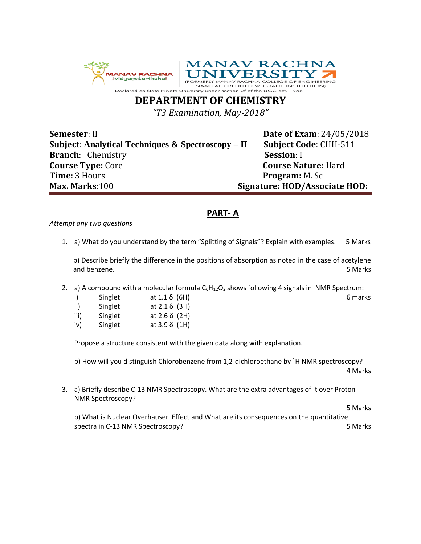



**DEPARTMENT OF CHEMISTRY**

*"T3 Examination, May-2018"*

**Semester**: II **Date of Exam**: 24/05/2018 **Subject**: **Analytical Techniques & Spectroscopy – II Subject Code**: CHH-511 **Branch**: Chemistry **Session**: I **Course Type:** Core **Course Nature:** Hard **Time**: 3 Hours **Program:** M. Sc **Max. Marks**:100 **Signature: HOD/Associate HOD:**

# **PART- A**

### *Attempt any two questions*

1. a) What do you understand by the term "Splitting of Signals"? Explain with examples. 5 Marks

b) Describe briefly the difference in the positions of absorption as noted in the case of acetylene and benzene. 5 Marks

2. a) A compound with a molecular formula  $C_6H_{12}O_2$  shows following 4 signals in NMR Spectrum:

| i)   | Singlet | at $1.1 \delta$ (6H) | 6 marks |
|------|---------|----------------------|---------|
| ii)  | Singlet | at $2.1 \delta$ (3H) |         |
| iii) | Singlet | at 2.6 δ (2H)        |         |
| iv)  | Singlet | at $3.9\delta$ (1H)  |         |

Propose a structure consistent with the given data along with explanation.

b) How will you distinguish Chlorobenzene from 1,2-dichloroethane by <sup>1</sup>H NMR spectroscopy? 4 Marks

3. a) Briefly describe C-13 NMR Spectroscopy. What are the extra advantages of it over Proton NMR Spectroscopy?

5 Marks

b) What is Nuclear Overhauser Effect and What are its consequences on the quantitative spectra in C-13 NMR Spectroscopy? 5 Marks